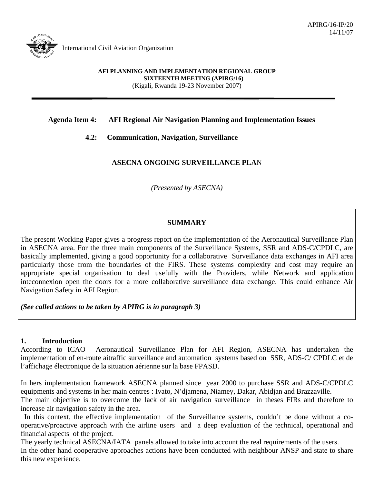

International Civil Aviation Organization

#### **AFI PLANNING AND IMPLEMENTATION REGIONAL GROUP SIXTEENTH MEETING (APIRG/16)**  (Kigali, Rwanda 19-23 November 2007)

### **Agenda Item 4: AFI Regional Air Navigation Planning and Implementation Issues**

#### **4.2: Communication, Navigation, Surveillance**

#### **ASECNA ONGOING SURVEILLANCE PLA**N

*(Presented by ASECNA)* 

#### **SUMMARY**

The present Working Paper gives a progress report on the implementation of the Aeronautical Surveillance Plan in ASECNA area. For the three main components of the Surveillance Systems, SSR and ADS-C/CPDLC, are basically implemented, giving a good opportunity for a collaborative Surveillance data exchanges in AFI area particularly those from the boundaries of the FIRS. These systems complexity and cost may require an appropriate special organisation to deal usefully with the Providers, while Network and application inteconnexion open the doors for a more collaborative surveillance data exchange. This could enhance Air Navigation Safety in AFI Region.

*(See called actions to be taken by APIRG is in paragraph 3)*

#### **1. Introduction**

According to ICAO Aeronautical Surveillance Plan for AFI Region, ASECNA has undertaken the implementation of en-route aitraffic surveillance and automation systems based on SSR, ADS-C/ CPDLC et de l'affichage électronique de la situation aérienne sur la base FPASD.

In hers implementation framework ASECNA planned since year 2000 to purchase SSR and ADS-C/CPDLC equipments and systems in her main centres : Ivato, N'djamena, Niamey, Dakar, Abidjan and Brazzaville.

The main objective is to overcome the lack of air navigation surveillance in theses FIRs and therefore to increase air navigation safety in the area.

In this context, the effective implementation of the Surveillance systems, couldn't be done without a cooperative/proactive approach with the airline users and a deep evaluation of the technical, operational and financial aspects of the project.

The yearly technical ASECNA/IATA panels allowed to take into account the real requirements of the users. In the other hand cooperative approaches actions have been conducted with neighbour ANSP and state to share this new experience.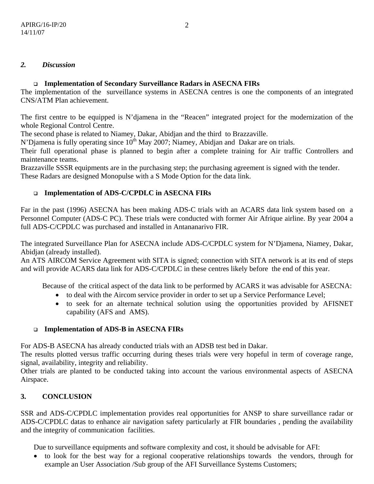### *2. Discussion*

## **Implementation of Secondary Surveillance Radars in ASECNA FIRs**

The implementation of the surveillance systems in ASECNA centres is one the components of an integrated CNS/ATM Plan achievement.

The first centre to be equipped is N'djamena in the "Reacen" integrated project for the modernization of the whole Regional Control Centre.

The second phase is related to Niamey, Dakar, Abidjan and the third to Brazzaville.

N'Djamena is fully operating since  $10^{th}$  May 2007; Niamey, Abidjan and Dakar are on trials.

Their full operational phase is planned to begin after a complete training for Air traffic Controllers and maintenance teams.

Brazzaville SSSR equipments are in the purchasing step; the purchasing agreement is signed with the tender. These Radars are designed Monopulse with a S Mode Option for the data link.

### **Implementation of ADS-C/CPDLC in ASECNA FIRs**

Far in the past (1996) ASECNA has been making ADS-C trials with an ACARS data link system based on a Personnel Computer (ADS-C PC). These trials were conducted with former Air Afrique airline. By year 2004 a full ADS-C/CPDLC was purchased and installed in Antananarivo FIR.

The integrated Surveillance Plan for ASECNA include ADS-C/CPDLC system for N'Djamena, Niamey, Dakar, Abidjan (already installed).

An ATS AIRCOM Service Agreement with SITA is signed; connection with SITA network is at its end of steps and will provide ACARS data link for ADS-C/CPDLC in these centres likely before the end of this year.

Because of the critical aspect of the data link to be performed by ACARS it was advisable for ASECNA:

- to deal with the Aircom service provider in order to set up a Service Performance Level;
- to seek for an alternate technical solution using the opportunities provided by AFISNET capability (AFS and AMS).

### **Implementation of ADS-B in ASECNA FIRs**

For ADS-B ASECNA has already conducted trials with an ADSB test bed in Dakar.

The results plotted versus traffic occurring during theses trials were very hopeful in term of coverage range, signal, availability, integrity and reliability.

Other trials are planted to be conducted taking into account the various environmental aspects of ASECNA Airspace.

# **3. CONCLUSION**

SSR and ADS-C/CPDLC implementation provides real opportunities for ANSP to share surveillance radar or ADS-C/CPDLC datas to enhance air navigation safety particularly at FIR boundaries , pending the availability and the integrity of communication facilities.

Due to surveillance equipments and software complexity and cost, it should be advisable for AFI:

• to look for the best way for a regional cooperative relationships towards the vendors, through for example an User Association /Sub group of the AFI Surveillance Systems Customers;